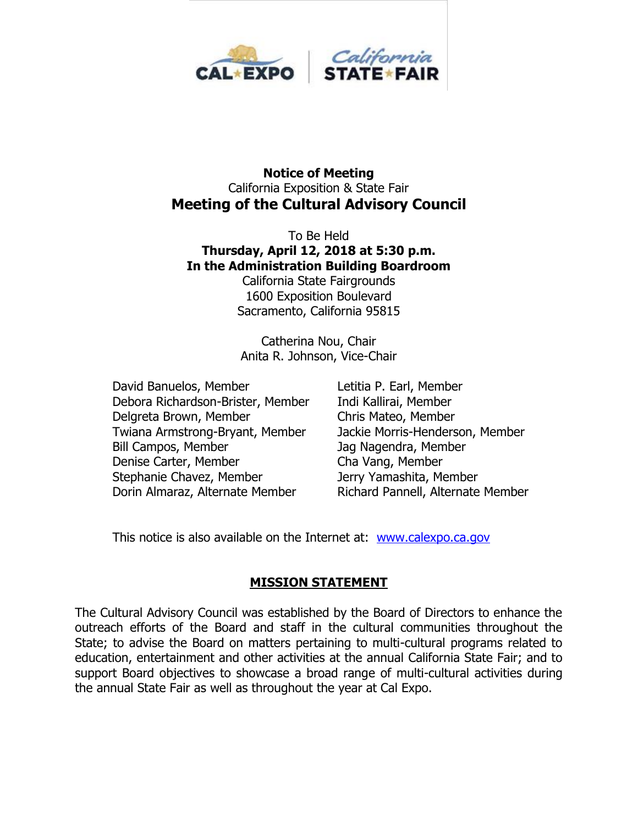

#### **Notice of Meeting** California Exposition & State Fair **Meeting of the Cultural Advisory Council**

To Be Held **Thursday, April 12, 2018 at 5:30 p.m. In the Administration Building Boardroom**

California State Fairgrounds 1600 Exposition Boulevard Sacramento, California 95815

Catherina Nou, Chair Anita R. Johnson, Vice-Chair

David Banuelos, Member Letitia P. Earl, Member Debora Richardson-Brister, Member Indi Kallirai, Member Delgreta Brown, Member Chris Mateo, Member Twiana Armstrong-Bryant, Member Jackie Morris-Henderson, Member Bill Campos, Member Jag Nagendra, Member Denise Carter, Member Cha Vang, Member Stephanie Chavez, Member Jerry Yamashita, Member Dorin Almaraz, Alternate Member Richard Pannell, Alternate Member

This notice is also available on the Internet at: [www.calexpo.ca.gov](http://www.calexpo.ca.gov/)

# **MISSION STATEMENT**

The Cultural Advisory Council was established by the Board of Directors to enhance the outreach efforts of the Board and staff in the cultural communities throughout the State; to advise the Board on matters pertaining to multi-cultural programs related to education, entertainment and other activities at the annual California State Fair; and to support Board objectives to showcase a broad range of multi-cultural activities during the annual State Fair as well as throughout the year at Cal Expo.